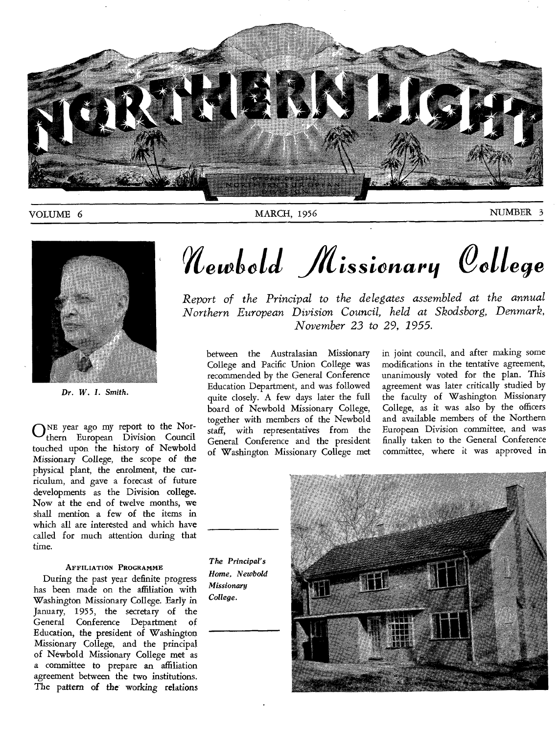

### VOLUME 6 MARCH, 1956 MARCH, 1956 NUMBER 3



*Dr. W. I. Smith.* 

**O**NE year ago my report to the Northern European Division Council touched upon the history of Newbold Missionary College, the scope of the physical plant, the enrolment, the curriculum, and gave a forecast of future developments as the Division college. Now at the end of twelve months, we shall mention a few of the items in which all are interested and which have called for much attention during that time.

#### AFFILIATION PROGRAMME

During the past year definite progress has been made on the affiliation with Washington Missionary College. Early in January, 1955, the secretary of the General Conference Department of Education, the president of Washington Missionary College, and the principal of Newbold Missionary College met as a committee to prepare an affiliation agreement between the two institutions. The pattern of the working relations

# *Mewbold Missionary* College

*Report of the Principal to the delegates assembled at the annual Northern European Division Council, held at Skodsborg, Denmark, November 23 to 29, 1955.* 

between the Australasian Missionary College and Pacific Union College was recommended by the General Conference Education Department, and was followed quite closely. A few days later the full board of Newbold Missionary College, together with members of the Newbold staff, with representatives from the General Conference and the president of Washington Missionary College met in joint council, and after making some modifications in the tentative agreement, unanimously voted for the plan. This agreement was later critically studied by the faculty of Washington Missionary College, as it was also by the officers and available members of the Northern European Division committee, and was finally taken to the General Conference committee, where it was approved in

*The Principal's Home, Newbold Missionary College.* 

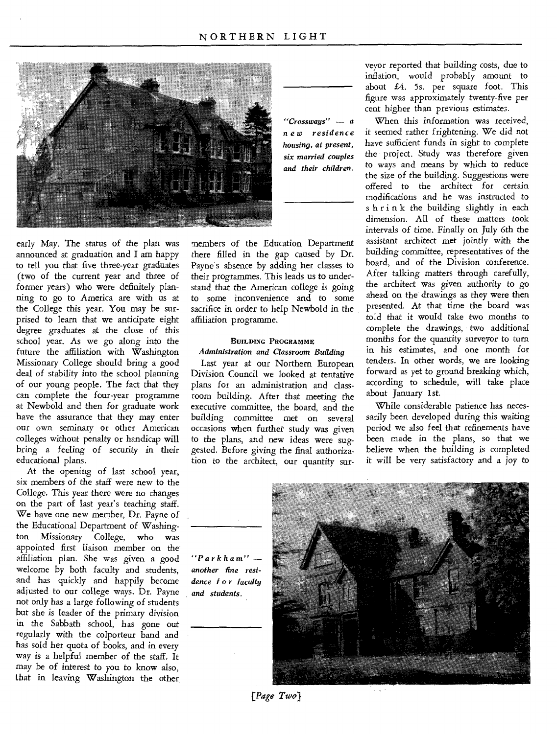

early May. The status of the plan was announced at graduation and I am happy to tell you that five three-year graduates (two of the current year and three of former years) who were definitely planning to go to America are with us at the College this year. You may be surprised to learn that we anticipate eight degree graduates at the close of this school year. As we go along into the future the affiliation with Washington Missionary College should bring a good deal of stability into the school planning of our young people. The fact that they can complete the four-year programme at Newbold and then for graduate work have the assurance that they may enter our own seminary or other American colleges without penalty or handicap will bring a feeling of security in their educational plans.

At the opening of last school year, six members of the staff were new to the College. This year there were no changes on the part of last year's teaching staff. We have one new member, Dr. Payne of the Educational Department of Washington Missionary College, who was appointed first liaison member on the affiliation plan. She was given a good welcome by both faculty and students, and has quickly and happily become adjusted to our college ways. Dr. Payne not only has a large following of students but she is leader of the primary division in the Sabbath school, has gone out regularly with the colporteur band and has sold her quota of books, and in every way is a helpful member of the staff. It may be of interest to you to know also, that in leaving Washington the other

members of the Education Department there filled in the gap caused by Dr. Payne's absence by adding her classes to their programmes. This leads us to understand that the American college is going to some inconvenience and to some sacrifice in order to help Newbold in the affiliation programme.

#### BUILDING PROGRAMME

*Administration and Classroom Building*  Last year at our Northern European Division Council we looked at tentative plans for an administration and classroom building. After that meeting the executive committee, the board, and the building committee met on several occasions when further study was given to the plans, and new ideas were suggested. Before giving the final authorization to the architect, our quantity surveyor reported that building costs, due to inflation, would probably amount to about £4. 5s. per square foot. This figure was approximately twenty-five per cent higher than previous estimates.

When this information was received, it seemed rather frightening. We did not have sufficient funds in sight to complete the project. Study was therefore given to ways and means by which to reduce the size of the building. Suggestions were offered to the architect for certain modifications and he was instructed to s h r i n k the building slightly in each dimension. All of these matters took intervals of time. Finally on July 6th the assistant architect met jointly with the building committee, representatives of the board, and of the Division conference. After talking matters through carefully, the architect was given authority to go ahead on the drawings as they were then presented. At that time the board was told that it would take two months to complete the drawings, two additional months for the quantity surveyor to turn in his estimates, and one month for tenders. In other words, we are looking forward as yet to ground breaking which, according to schedule, will take place about January 1st.

While considerable patience has necessarily been developed during this waiting period we also feel that refinements have been made in the plans, so that we believe when the building is completed it will be very satisfactory and a joy to



*"Parkham" another fine residence 1 o r faculty and students.* 

*[Page Two]*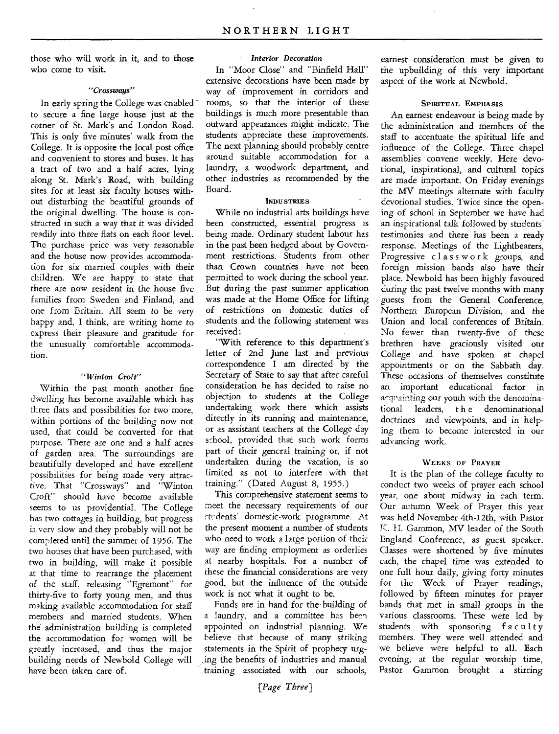those who will work in it, and to those who come to visit.

#### *"Crossways"*

In early spring the College was enabled ~ to secure a fine large house just at the corner of St. Mark's and London Road. This is only five minutes' walk from the College. It is opposite the local post office and convenient to stores and buses. It has a tract of two and a half acres, lying along St. Mark's Road, with building sites for at least six faculty houses without disturbing the beautiful grounds of the original dwelling. The house is constricted in such a way that it was divided readily into three fiats on each floor level. The purchase price was very reasonable and the house now provides accommodation for six married couples with their children. We are happy to state that there are now resident in the house five families from Sweden and Finland, and one from Britain. All seem to be very happy and, I think, are writing home to express their pleasure and gratitude for the unusually comfortable accommodation.

#### *"Winton Croft"*

Within the past month another fine dwelling has become available which *has*  three flats and possibilities for two more, within portions of the building now not used, that could be converted for that purpose. There are one and a half acres of garden area. The surroundings are beautifully developed and have excellent possibilities for being made very attractive. That "Crossways" and "Winton Croft" should have become available seems to us providential. The College has two cottages in building, but progress is very slow and they probably will not be completed until the summer of 1956. The two houses that have been purchased, with two in building, will make it possible at that time to rearrange the placement of the staff, releasing "Egremont" for thirty-five to forty young men, and thus making available accommodation for staff members and married students. When the administration building is completed the accommodation for women will be greatly increased, and thus the major building needs of Newbold College will have been taken care of.

In "Moor Close" and "Binfield Hall" extensive decorations have been made by way of improvement in corridors and rooms, so that the interior of these buildings is much more presentable than outward appearances might indicate. The students appreciate these improvements. The next planning should probably centre around suitable accommodation for a laundry, a woodwork department, and other industries as recommended by the Board.

#### INDUSTRIES

While no industrial arts buildings have been constructed, essential progress is being made. Ordinary student labour has in the past been hedged about by Government restrictions. Students from other than Crown countries have not been permitted to work during the school year. But during the past summer application was made at the Home Office for lifting of restrictions on domestic *duties of*  students and the following statement was received :

"With reference to this department's letter of 2nd June last and previous correspondence I am directed by the Secretary of State to say that after careful consideration he has decided to raise no objection to students at the College undertaking work there which assists directly in its running and maintenance, or as assistant teachers at the College day school, provided that such work forms part of their general training or, if not undertaken during the vacation, is so limited as not to interfere with that training." (Dated August 8, 1955.)

This comprehensive statement seems to meet the necessary requirements of our Ft:dents' domestic-work programme. At the present moment a number of students who need to work a large portion of their way are finding employment as orderlies at nearby hospitals. For a number of these the financial considerations are very good, but the influence of the outside work is not what it ought to be.

Funds are in hand for the building of a laundry, and a committee has been appointed on industrial planning. We believe that because of many striking statements in the Spirit of prophecy urging the benefits of industries and manual training associated with our schools,

earnest consideration must be given to the upbuilding of this very important aspect of the work at Newbold.

#### SPIRITUAL EMPHASIS

An earnest endeavour is being made by the administration and members of the staff to accentuate the spiritual life and influence of the College. Three chapel assemblies convene weekly. Here devotional, inspirational, and cultural topics are made important. On Friday evenings the MV meetings alternate with faculty devotional studies. Twice since the opening of school in September we have had an inspirational talk followed by students' testimonies and there has been a ready response. Meetings of the Lightbearers, Progressive classwork groups, and foreign mission bands also have their place. Newbold has been highly favoured during the past twelve months with many guests from the General Conference, Northern European Division, and the Union and local conferences of Britain. No fewer than twenty-five of these brethren have graciously visited our College and have spoken at chapel appointments or on the Sabbath day. These occasions of themselves constitute an important educational factor in acquainting our youth with the denominational leaders, t h e denominational doctrines and viewpoints, and in helping them to become interested in our advancing work.

#### WEEKS OF PRAYER

It is the plan of the college faculty to conduct two weeks of prayer each school year, one about midway in each term. Our autumn Week of Prayer this year was held November 4th-12th, with Pastor K. II. Gammon, MV leader of the South England Conference, as guest speaker. Classes were shortened by five minutes each, the chapel time was extended to one full hour daily, giving forty minutes for the Week of Prayer readings, followed by fifteen minutes for prayer bands that met in small groups in the various classrooms. These were led by students with sponsoring faculty members. They were well attended and we believe were helpful to all. Each evening, at the regular worship time, Pastor Gammon brought a stirring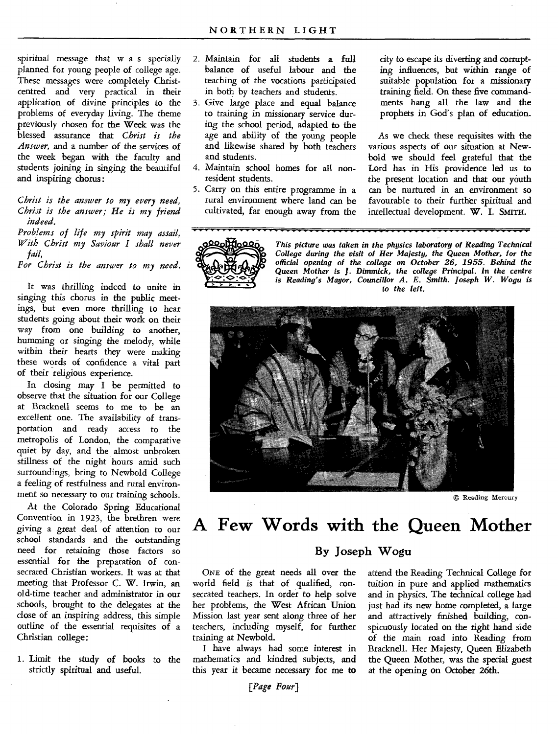spiritual message that w a s specially planned for young people of college age. These messages were completely Christcentred and very practical in their application of divine principles to the problems of everyday living. The theme previously chosen for the Week was the blessed assurance that *Christ is the Answer,* and a number of the services of the week began with the faculty and students joining in singing the beautiful and inspiring chorus :

#### *Christ is the answer to my every need, Christ is the answer; He is my friend indeed.*

*Problems of life my spirit may assail, With Christ my Saviour I shall never fail,* 

*For Christ is the answer to my need.* 

It was thrilling indeed to unite in singing this chorus in the public meetings, but even more thrilling to hear students going about their work on their way from one building to another, humming or singing the melody, while within their hearts they were making these words of confidence a vital part of their religious experience.

In closing may I be permitted to observe that the situation for our College at Bracknell seems to me to be an excellent one. The availability of transportation and ready access to the metropolis of London, the comparative quiet by day, and the almost unbroken stillness of the night hours amid such surroundings, bring to Newbold College a feeling of restfulness and rural environment so necessary to our training schools.

At the Colorado Spring Educational Convention in 1923, the brethren were *giving* a great deal of attention to our school standards and the outstanding need for retaining those factors so essential for the preparation of consecrated Christian workers. It was at that meeting that Professor C. W. Irwin, an old-time teacher and administrator in our schools, brought to the delegates at the close of an inspiring address, this simple outline of the essential requisites of a Christian college:

1. Limit the study of books to the strictly spiritual and useful.

- Maintain for all students a full balance of useful labour and the teaching of the vocations participated in both by teachers and students.
- 3. Give large place and equal balance to training in missionary service during the school period, adapted to the age and ability of the young people and likewise shared by both teachers and students.
- 4. Maintain school homes for all nonresident students.
- 5. Carry on this entire programme in a rural environment where land can be cultivated, far enough away from the

city to escape its diverting and corrupting influences, but within range of suitable population for a missionary training field. On these five commandments hang all the law and the prophets in God's plan of education.

As we check these requisites with the various aspects of our situation at Newbold we should feel grateful that the Lord has in His providence led us to the present location and that our youth can be nurtured in an environment so favourable to their further spiritual and intellectual development. W. I. SMITH.



*This picture was taken in the physics laboratory of Reading Technical College during the visit of Her Majesty, the Queen Mother, for the official opening of the college on October 26, 1955. Behind the Queen* Mother is J. Dimmick, *the college* Principal. In *the* centre *is Reading's Mayor, Councillor A. E. Smith. Joseph W. Wogu is to the left.* 



© Reading Mercury

### **A Few Words with the Queen Mother**

#### **By Joseph Wogu**

ONE of the great needs all over the world field is that of qualified, consecrated teachers. In order to help solve her problems, the West African Union Mission last year sent along three of her teachers, including myself, for further training at Newbold.

I have always had some interest in mathematics and kindred subjects, and this year it became necessary for me to

attend the Reading Technical College for tuition in pure and applied mathematics and in physics. The technical college had just had its new home completed, a large and attractively finished building, conspicuously located on the right hand side of the main road into Reading from Bracknell. Her Majesty, Queen Elizabeth the Queen Mother, was the special guest at the opening on October 26th.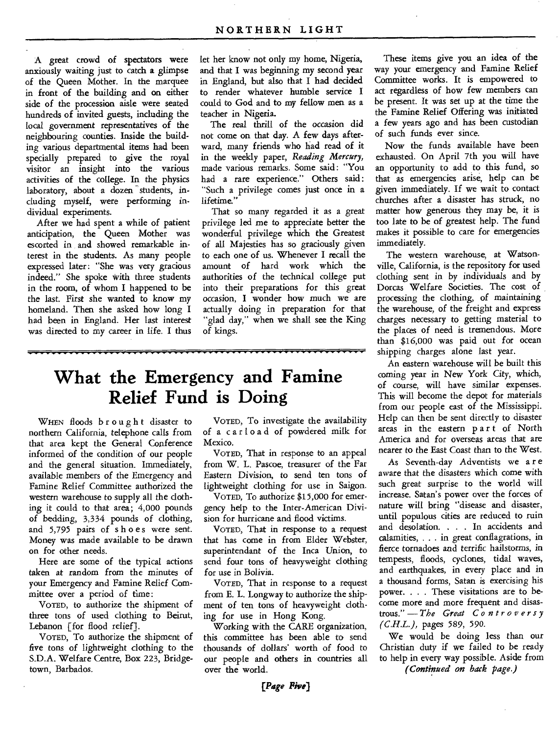A great crowd of spectators were anxiously waiting just to catch a glimpse of the Queen Mother. In the marquee in front of the building and on either side of the procession aisle were seated hundreds of invited guests, including the local government representatives of the neighbouring counties. Inside the building various departmental items had been specially prepared to give the royal visitor an insight into the various activities of the college. In the physics laboratory, about a dozen students, including myself, were performing individual experiments.

After we had spent a while of patient anticipation, the Queen Mother was escorted in and showed remarkable interest in the students. As many people expressed later: "She was very gracious indeed." She spoke with three students in the room, of whom I happened to be the last. First she wanted to know my homeland. Then she asked how long I had been in England. Her last interest was directed to my career in life. I thus

let her know not only my home, Nigeria, and that I was beginning my second year in England, but also that I had decided to render whatever humble service I could to God and to my fellow men as a teacher in Nigeria.

The real thrill of the *occasion* did not come on that day. A few days afterward, many friends who had read of it in the weekly paper, *Reading Mercury,*  made various remarks. Some said : "You had a rare experience." Others said : "Such a privilege comes just once in a lifetime."

That so many regarded it as a great privilege led me to appreciate better the wonderful privilege which the Greatest of all Majesties has so graciously given to each one of us. Whenever I recall the amount of hard work which the authorities of the technical college put into their preparations for this great occasion, I wonder how much we are actually doing in preparation for that "glad day," when we shall see the King of kings.

### **What the Emergency and Famine Relief Fund is Doing**

WHEN floods brought disaster to northern California, telephone calls from that area kept the General Conference informed of the condition of our people and the general situation. Immediately, available members of the Emergency and Famine Relief Committee authorized the western warehouse to supply all the clothing it could to that area; 4,000 pounds of bedding, 3,334 pounds of clothing, and 5,795 pairs of shoes were sent. Money was made available to be drawn on for other needs.

Here are some of the typical actions taken at random from the minutes of your Emergency and Famine Relief Committee over a period of time:

VOTED, to authorize the shipment of three tons of used clothing to Beirut, Lebanon [for flood relief].

VOTED, To authorize the shipment of five tons of lightweight clothing to the S.D.A. Welfare Centre, Box 223, Bridgetown, Barbados.

VOTED, To investigate the availability of a car load of powdered milk for Mexico.

VOTED, That in response to an appeal from W. L. Pascoe, treasurer of the Far Eastern Division, to send ten tons of lightweight clothing for use in Saigon.

VOTED, To authorize \$15,000 for emergency help to the Inter-American Division for hurricane and flood victims.

VOTED, That in response to a request that has come in from Elder Webster, superintendant of the Inca Union, to send four tons of heavyweight clothing for *use* in Bolivia.

VOTED, That in response to a request from E. L. Longway to authorize the shipment of ten tons of heavyweight clothing for use in Hong Kong.

Working with the CARE organization, this committee has been able to send thousands *of* dollars' worth of food to our people and others in countries all over the world.

These items give you an idea of the way your emergency and Famine Relief Committee works. It is empowered to act regardless of how few members can be present. It was set up at the time the the Famine Relief Offering was initiated a few years ago and has been custodian of such funds ever since.

Now the funds available have been exhausted. On April 7th you will have an opportunity to add to this fund, so that as emergencies arise, help can be given immediately. If we wait to contact churches after a disaster *has struck,* no matter how generous they may be, it is too late to be of greatest help. The fund makes it possible to care for emergencies immediately.

The western warehouse, at Watsonville, California, is the repository for used clothing sent in by individuals and by Dorcas Welfare Societies. The cost of processing the clothing, of maintaining the warehouse, of the freight and express charges necessary to getting material to the places of need is tremendous. More than \$16,000 was paid out for ocean shipping charges alone last year.

An eastern warehouse will be built this *coming* year in New York City, which, of course, will have similar expenses. This will become the depot for materials from our people east of the Mississippi. Help can then be sent directly to disaster areas in the eastern part of North America and for overseas areas that are nearer to the East Coast than to the West.

As Seventh-day Adventists we a r e *aware* that the disasters which come with such great surprise to the world will increase. Satan's power over the forces of nature will bring "disease and disaster, until populous cities are reduced to ruin and desolation. . . . In accidents and calamities, . . . in great conflagrations, in fierce tornadoes and terrific hailstorms, in tempests, floods, cyclones, tidal waves, and earthquakes, in every place and in a thousand forms, Satan is exercising his power. . . . These visitations are to become more and more frequent and disastrous." — *The Great Controversy (C.H.L.), pages* 589, 590.

We would be doing less than our Christian duty if we failed to be ready to help in every way possible. Aside from *(Continued on back page.)*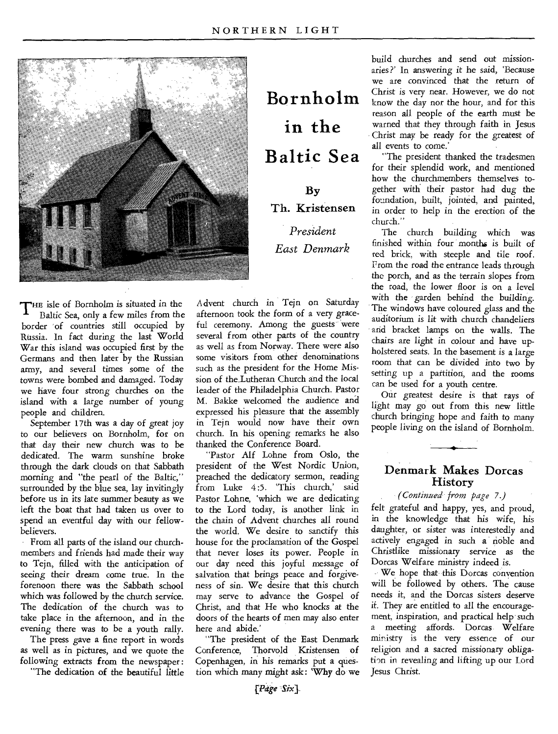

THE isle of Bornholm is situated in the<br>Baltic Sea, only a few miles from the Baltic Sea, only a few miles from the border of countries still occupied by Russia. In fact during the last World War this island was occupied first by the Germans and then later by the Russian army, and several times some of the towns were bombed and damaged. Today we have four strong churches on the island with a large number of young people and children.

September 17th was a day of great joy to our believers on Bornholm, for on that day their new church was to be dedicated. The warm sunshine broke through the dark clouds on that Sabbath morning and "the pearl of the Baltic," surrounded by the blue sea, lay invitingly before us in its late summer beauty as we left the boat that had taken us over to spend an eventful day with our fellowbelievers.

From all parts of the island our churchmembers and friends had made their way to Tejn, filled with the anticipation of seeing their dream come true. In the forenoon there was the Sabbath school which was followed by the church service. The dedication of the church was to take place in the afternoon, and in the evening there was to be a youth rally.

The press gave a fine report in words as well as in pictures, and we quote the following extracts from the newspaper: "The dedication of the beautiful little

**Bornholm in the Baltic Sea**  By Th. Kristensen *President East Denmark* 

Advent church in Tejn on Saturday afternoon took the form of a very graceful ceremony. Among the guests were several from other parts of the country as well as from Norway. There were also some visitors from other denominations such as the president for the Home Mission of the Lutheran Church and the local leader of the Philadelphia Church. Pastor M. Bakke welcomed the audience and expressed his pleasure that the assembly in Tejn would now 'have their own church. In his opening remarks he also thanked the Conference Board.

"Pastor Alf Lohne from Oslo, the president of the West Nordic Union, preached the dedicatory sermon, reading from Luke 4:5. 'This church,' said Pastor Lohne, 'which we are dedicating to the Lord today, is another link in the chain of Advent churches all round the world. We desire to sanctify this house for the proclamation of the Gospel that never loses its power. People in our day need this joyful message of salvation that brings peace and forgiveness of sin. We desire that this church may serve to advance the Gospel of Christ, and that He who knocks at the doors of the hearts of men may also enter here and abide.'

"The president of the East Denmark Conference, Thorvold Kristensen of Copenhagen, in his remarks put a question which many might ask: 'Why do we

build churches and send out missionaries ?' In answering it he said, 'Because we are convinced that the return of Christ is very near. However, we do not know the day nor the hour, and for this reason all people of the earth must be warned that they through faith in Jesus Christ may be ready for the greatest of all events to come.'

"The president thanked the tradesmen for their splendid work, and mentioned how the churchmembers themselves together with their pastor had dug the foundation, built, jointed, and painted, in order to help in the erection of the church."

The church building which was finished within four months is built of red brick, with steeple and tile roof. Prom the road the entrance leads through the porch, and as the terrain slopes from the road, the lower floor is on a level with the garden behind the building. The windows have coloured glass and the auditorium is lit with church chandeliers and bracket lamps on the walls. The chairs are light in colour and have upholstered seats. In the basement is a large room that can be divided into two by setting up a partition, and the rooms can be used for a youth centre.

Our greatest desire is that rays of light may go out from this new little church bringing hope and faith to many people living on the island of Bornholm.

#### Denmark Makes Dorcas History

*(Continued from page 7.)* 

felt grateful and happy, yes, and proud, in the knowledge that his wife, his daughter, or sister was interestedly and actively engaged in such a noble and Christlike missionary service as the Dorcas Welfare ministry indeed is.

We hope that this Dorcas convention will be followed by others. The cause needs it, and the Dorcas sisters deserve if. They are entitled to all the encouragement, inspiration, and practical help such a meeting affords. Dorcas Welfare ministry is the very essence of our religion and a sacred missionary obligation in revealing and lifting up our Lord Jesus Christ.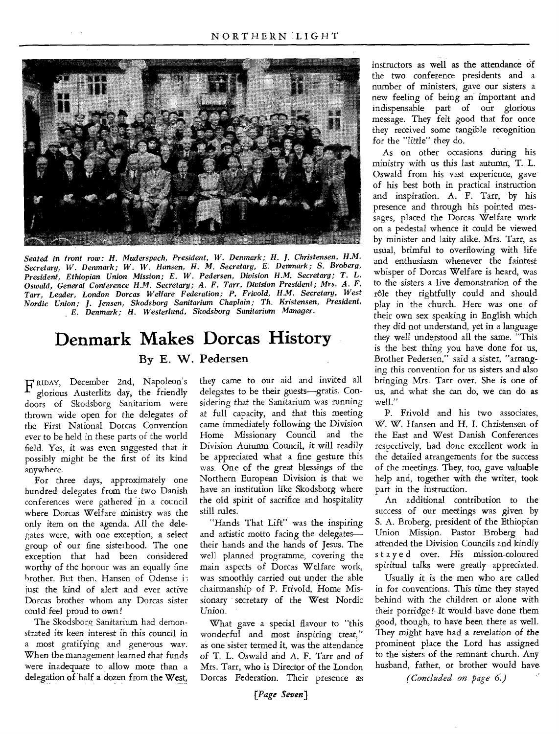

*Seated in front row: H. Muderspach, President, W. Denmark; H. J. Christensen, H.M. Secretary, W. Denmark; W. W. Hansen, H. M. Secretary, E. Denmark; S. Broberg, President, Ethiopian Union Mission; E. W. Pedersen, Division H.M. Secretary; T. L. Oswald, General Conference H.M. Secretary; A. F. Tarr, Division President;, Mrs. A. F. Tarr, Leader, London Dorcas Welfare Federation; P. Frivold, H.M. Secretary, West Nordic Union; J. Jensen, Skodsborg Sanitarium Chaplain; Th. Kristensen, President, E. Denmark; H. Westerlund, Skodsborg Sanitarium Manager.* 

### **Denmark Makes Dorcas History**  By E. W. Pedersen

F RIDAY, December 2nd, Napoleon's glorious Austerlitz day, the friendly doors of Skodsborg Sanitarium were thrown wide open for the delegates of the First National Dorcas Convention ever to be held in these parts of the world field. Yes, it was even suggested that it possibly might be the first of its kind anywhere.

For three days, approximately one hundred delegates from the two Danish conferences were gathered in a council where Dorcas Welfare ministry was the only item on the agenda. All the delegates were, with one exception, a select group of our fine sisterhood. The one exception that had been considered worthy of the honour was an equally fine brother. But then, Hansen of Odense i just the kind of alert and ever active Dorcas brother whom any Dorcas sister could feel proud to own!

The Skodsborg Sanitarium had demonstrated its keen interest in this council in a most gratifying and generous way. When the management learned that funds were inadequate to allow more than a delegation of half a dozen from the West,

they came to our aid and invited all delegates to be their guests—gratis. Considering that the Sanitarium was running at full capacity, and that this meeting came immediately following the Division Home Missionary Council and the Division Autumn Council, it will readily be appreciated what a fine gesture this was. One of the great blessings of the Northern European Division is that we have an institution like Skodsborg where the old spirit of sacrifice and hospitality still rules.

"Hands That Lift" was the inspiring and artistic motto facing the delegates their hands and the hands of Jesus. The well planned programme, covering the main aspects of Dorcas Welfare work, was smoothly carried out under the able chairmanship of P. Frivold, Home Missionary secretary of the West Nordic Union.

What gave a special flavour to "this wonderful and most inspiring treat," as one sister termed it, was the attendance of T. L. Oswald and A. F. Tarr and *of*  Mrs. Tarr, who is Director of the London Dorcas Federation. Their presence as

instructors as well as the attendance of the two conference presidents and a. number of ministers, gave our sisters a new feeling of being an important and indispensable part of our glorious message. They felt good that for once they received some tangible recognition for the "little" they do.

As on other occasions during his ministry with us this last autumn, T. L. Oswald from his vast experience, gave of his best both in practical instruction and inspiration. A. F. Tarr, by his presence and through his pointed messages, placed the Dorcas Welfare work on a pedestal whence it could be viewed by minister and laity alike. Mrs. Tarr, as usual, brimful to overflowing with life and enthusiasm whenever the faintest whisper of Dorcas Welfare is heard, was to the sisters a live demonstration of the rôle they rightfully could and should play in the church. Here was one of their own sex speaking in English which they did not understand, yet in a language they well understood all the same. "This is the best thing you have done for us, Brother Pedersen," said a sister, "arranging this convention for us sisters and also bringing Mrs. Tarr over. She is one of us, and what she can do, we can do *as*  well."

P. Frivold and his two associates, W. W. Hansen and H. I. Christensen of the East and West Danish Conferences respectively, had done excellent work in the detailed arrangements for the success of the meetings. They, too, gave valuable help and, together with the writer, took part in the instruction.

An additional contribution to the success of our meetings was given by S. A. Broberg, president of the Ethiopian Union Mission. Pastor Broberg had attended the Division Councils and kindly stayed over. His mission-coloured spiritual talks were greatly appreciated.

Usually it is the men who are called in for conventions. This time they stayed behind with the children or alone with their porridge !• It would have done them good, though, to have been there as well. They might have had a revelation of the prominent place the Lord has assigned to the sisters of the remnant church. Any husband, father, or brother would have

*(Concluded on page 6.)*